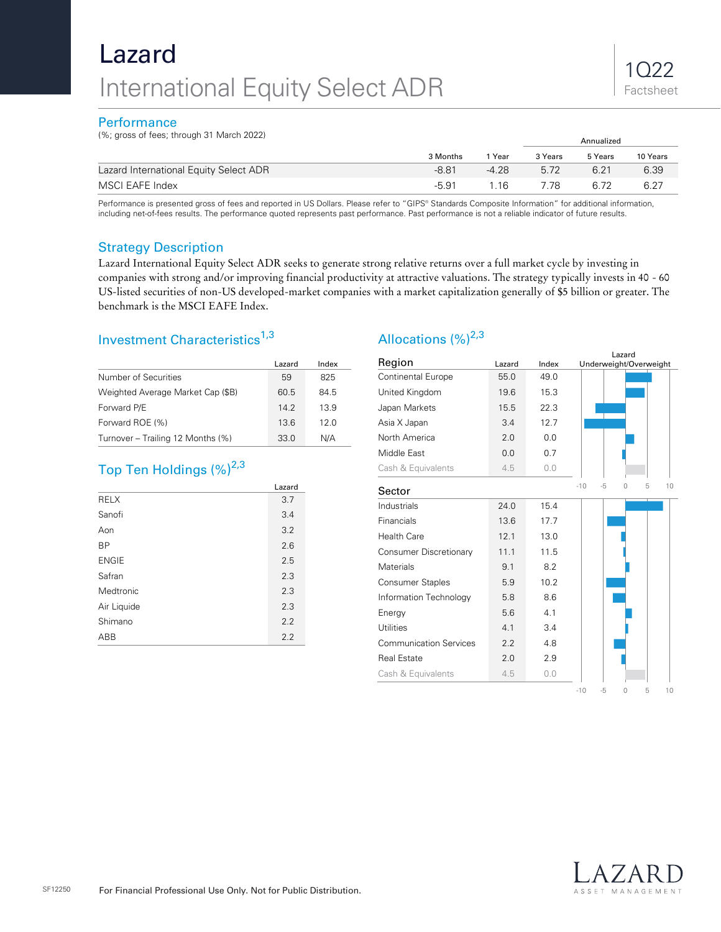# Lazard International Equity Select ADR

### **Performance**

(%; gross of fees; through 31 March 2022)

|                                        | 3 Months | Year    | 3 Years | 5 Years | 10 Years |
|----------------------------------------|----------|---------|---------|---------|----------|
| Lazard International Equity Select ADR | $-8.81$  | $-4.28$ | 5.72    | 6.21    | 6.39     |
| MSCI EAFE Index                        | $-5.91$  | 1.16    | 7.78    | 6.72    | 6.27     |

Performance is presented gross of fees and reported in US Dollars. Please refer to "GIPS® Standards Composite Information" for additional information, including net-of-fees results. The performance quoted represents past performance. Past performance is not a reliable indicator of future results.

### Strategy Description

Lazard International Equity Select ADR seeks to generate strong relative returns over a full market cycle by investing in companies with strong and/or improving financial productivity at attractive valuations. The strategy typically invests in 40 - 60 US-listed securities of non-US developed-market companies with a market capitalization generally of \$5 billion or greater. The benchmark is the MSCI EAFE Index.

## Investment Characteristics<sup>1,3</sup>

|                                   | Lazard | Index |
|-----------------------------------|--------|-------|
| Number of Securities              | 59     | 825   |
| Weighted Average Market Cap (\$B) | 60.5   | 84.5  |
| Forward P/E                       | 142    | 13.9  |
| Forward ROE (%)                   | 13.6   | 12.0  |
| Turnover - Trailing 12 Months (%) | 33.0   | N/A   |

## Top Ten Holdings (%)<sup>2,3</sup>

|                  | Lazard |
|------------------|--------|
| <b>RELX</b>      | 3.7    |
| Sanofi           | 3.4    |
| Aon              | 3.2    |
| <b>BP</b>        | 2.6    |
| <b>ENGIE</b>     | 2.5    |
| Safran           | 2.3    |
| <b>Medtronic</b> | 2.3    |
| Air Liquide      | 2.3    |
| Shimano          | 2.2    |
| ABB              | 2.2    |

# Allocations  $(\%)^{2,3}$

| Region                        | Lazard<br>Underweight/Overweight<br>Lazard<br>Index |      |                                      |  |  |  |  |  |
|-------------------------------|-----------------------------------------------------|------|--------------------------------------|--|--|--|--|--|
| <b>Continental Europe</b>     | 55.0                                                | 49.0 |                                      |  |  |  |  |  |
| United Kingdom                | 19.6                                                | 15.3 |                                      |  |  |  |  |  |
| Japan Markets                 | 15.5                                                | 22.3 |                                      |  |  |  |  |  |
| Asia X Japan                  | 3.4                                                 | 12.7 |                                      |  |  |  |  |  |
| North America                 | 2.0                                                 | 0.0  |                                      |  |  |  |  |  |
| Middle East                   | 0.0                                                 | 0.7  |                                      |  |  |  |  |  |
| Cash & Equivalents            | 4.5                                                 | 0.0  |                                      |  |  |  |  |  |
| Sector                        |                                                     |      | 5<br>$-10$<br>$-5$<br>$\Omega$<br>10 |  |  |  |  |  |
| Industrials                   | 24.0                                                | 15.4 |                                      |  |  |  |  |  |
| Financials                    | 13.6                                                | 17.7 |                                      |  |  |  |  |  |
| <b>Health Care</b>            | 12.1                                                | 13.0 |                                      |  |  |  |  |  |
| Consumer Discretionary        | 11.1                                                | 11.5 |                                      |  |  |  |  |  |
| <b>Materials</b>              | 9.1                                                 | 8.2  |                                      |  |  |  |  |  |
| <b>Consumer Staples</b>       | 5.9                                                 | 10.2 |                                      |  |  |  |  |  |
| Information Technology        | 5.8                                                 | 8.6  |                                      |  |  |  |  |  |
| Energy                        | 5.6                                                 | 4.1  |                                      |  |  |  |  |  |
| <b>Utilities</b>              | 4.1                                                 | 3.4  |                                      |  |  |  |  |  |
| <b>Communication Services</b> | 2.2                                                 | 4.8  |                                      |  |  |  |  |  |
| <b>Real Estate</b>            | 2.0                                                 | 2.9  |                                      |  |  |  |  |  |
| Cash & Equivalents            | 4.5                                                 | 0.0  |                                      |  |  |  |  |  |
|                               |                                                     |      | $-10$<br>$-5$<br>5<br>10<br>0        |  |  |  |  |  |